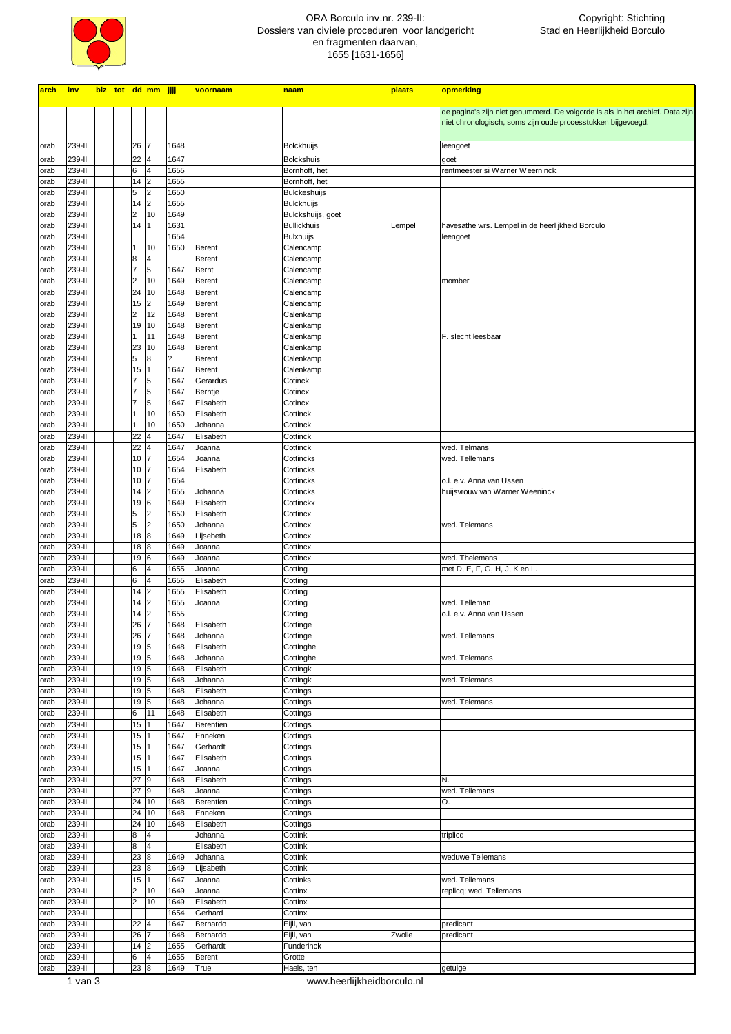

## ORA Borculo inv.nr. 239-II: Dossiers van civiele proceduren voor landgericht en fragmenten daarvan, 1655 [1631-1656]

Ī

| arch inv     |                  |  |                                | blz tot dd mm jjjj  |              | voornaam               | naam                                   | plaats | opmerking                                                                     |
|--------------|------------------|--|--------------------------------|---------------------|--------------|------------------------|----------------------------------------|--------|-------------------------------------------------------------------------------|
|              |                  |  |                                |                     |              |                        |                                        |        |                                                                               |
|              |                  |  |                                |                     |              |                        |                                        |        | de pagina's zijn niet genummerd. De volgorde is als in het archief. Data zijn |
|              |                  |  |                                |                     |              |                        |                                        |        | niet chronologisch, soms zijn oude processtukken bijgevoegd.                  |
| orab         | 239-II           |  | 26                             | 7                   | 1648         |                        | <b>Bolckhuijs</b>                      |        | leengoet                                                                      |
| orab         | 239-II           |  | 22                             | 4                   | 1647         |                        | <b>Bolckshuis</b>                      |        | goet                                                                          |
| orab         | 239-II           |  | 6                              | 4                   | 1655         |                        | Bornhoff, het                          |        | rentmeester si Warner Weerninck                                               |
| orab         | 239-II           |  | 14                             | 2                   | 1655         |                        | Bornhoff, het                          |        |                                                                               |
| orab         | 239-II           |  | 5                              | $\overline{2}$      | 1650         |                        | Bulckeshuijs                           |        |                                                                               |
| orab         | 239-II           |  | 14                             | l <sub>2</sub>      | 1655         |                        | <b>Bulckhuijs</b>                      |        |                                                                               |
| orab         | 239-II           |  | $\overline{\mathbf{c}}$        | 10                  | 1649         |                        | Bulckshuijs, goet                      |        |                                                                               |
| orab         | 239-II           |  | 14                             | 1                   | 1631<br>1654 |                        | <b>Bullickhuis</b><br><b>Bulxhuijs</b> | Lempel | havesathe wrs. Lempel in de heerlijkheid Borculo                              |
| orab<br>orab | 239-II<br>239-II |  | 1                              | 10                  | 1650         | <b>Berent</b>          | Calencamp                              |        | leengoet                                                                      |
| orab         | 239-II           |  | 8                              | 4                   |              | Berent                 | Calencamp                              |        |                                                                               |
| orab         | 239-II           |  | $\overline{7}$                 | 5                   | 1647         | Bernt                  | Calencamp                              |        |                                                                               |
| orab         | 239-II           |  | $\overline{2}$                 | 10                  | 1649         | Berent                 | Calencamp                              |        | momber                                                                        |
| orab         | 239-II           |  | $\overline{24}$                | 10                  | 1648         | Berent                 | Calencamp                              |        |                                                                               |
| orab         | 239-II           |  | 15                             | $\overline{2}$      | 1649         | Berent                 | Calencamp                              |        |                                                                               |
| orab<br>orab | 239-II<br>239-II |  | $\overline{2}$<br>19           | 12<br>10            | 1648<br>1648 | Berent<br>Berent       | Calenkamp<br>Calenkamp                 |        |                                                                               |
| orab         | 239-II           |  | 1                              | 11                  | 1648         | <b>Berent</b>          | Calenkamp                              |        | F. slecht leesbaar                                                            |
| orab         | 239-II           |  | 23                             | 10                  | 1648         | <b>Berent</b>          | Calenkamp                              |        |                                                                               |
| orab         | 239-II           |  | 5                              | 8                   | ?            | Berent                 | Calenkamp                              |        |                                                                               |
| orab         | 239-II           |  | 15                             | 1                   | 1647         | Berent                 | Calenkamp                              |        |                                                                               |
| orab         | 239-II           |  | $\overline{7}$                 | 5                   | 1647         | Gerardus               | Cotinck                                |        |                                                                               |
| orab         | 239-II           |  | $\overline{7}$                 | 5                   | 1647         | Berntje                | Cotincx                                |        |                                                                               |
| orab         | 239-II           |  | $\overline{7}$<br>$\mathbf{1}$ | 5<br>10             | 1647<br>1650 | Elisabeth<br>Elisabeth | Cotincx                                |        |                                                                               |
| orab<br>orab | 239-II<br>239-II |  | $\mathbf{1}$                   | 10                  | 1650         | Johanna                | Cottinck<br>Cottinck                   |        |                                                                               |
| orab         | 239-II           |  | 22                             | 4                   | 1647         | Elisabeth              | Cottinck                               |        |                                                                               |
| orab         | 239-II           |  | 22                             | 4                   | 1647         | Joanna                 | Cottinck                               |        | wed. Telmans                                                                  |
| orab         | 239-II           |  | 10 <sup>1</sup>                |                     | 1654         | Joanna                 | Cottincks                              |        | wed. Tellemans                                                                |
| orab         | 239-II           |  | 10 <sub>1</sub>                |                     | 1654         | Elisabeth              | Cottincks                              |        |                                                                               |
| orab         | 239-II           |  | 10                             |                     | 1654         |                        | Cottincks                              |        | o.l. e.v. Anna van Ussen                                                      |
| orab         | 239-II<br>239-II |  | 14                             | 2                   | 1655<br>1649 | Johanna                | Cottincks                              |        | huijsvrouw van Warner Weeninck                                                |
| orab<br>orab | 239-II           |  | 19<br>5                        | 6<br>$\overline{2}$ | 1650         | Elisabeth<br>Elisabeth | Cottinckx<br>Cottincx                  |        |                                                                               |
| orab         | 239-II           |  | 5                              | $\overline{2}$      | 1650         | Johanna                | Cottincx                               |        | wed. Telemans                                                                 |
| orab         | 239-II           |  | 18                             | 8                   | 1649         | Lijsebeth              | Cottincx                               |        |                                                                               |
| orab         | 239-II           |  | 18                             | 8                   | 1649         | Joanna                 | Cottincx                               |        |                                                                               |
| orab         | 239-II           |  | 19                             | 6                   | 1649         | Joanna                 | Cottincx                               |        | wed. Thelemans                                                                |
| orab         | 239-II           |  | 6                              | 4                   | 1655         | Joanna                 | Cotting                                |        | met D, E, F, G, H, J, K en L.                                                 |
| orab<br>orab | 239-II<br>239-II |  | 6<br>14                        | 4<br> 2             | 1655<br>1655 | Elisabeth<br>Elisabeth | Cotting<br>Cotting                     |        |                                                                               |
| orab         | 239-II           |  | 14                             | $\overline{2}$      | 1655         | Joanna                 | Cotting                                |        | wed. Telleman                                                                 |
| orab         | 239-II           |  | 14                             | $\overline{2}$      | 1655         |                        | Cotting                                |        | o.l. e.v. Anna van Ussen                                                      |
| orab         | 239-II           |  | 26                             |                     | 1648         | Elisabeth              | Cottinge                               |        |                                                                               |
| orab         | 239-II           |  | 26 7                           |                     | 1648         | Johanna                | Cottinge                               |        | wed. Tellemans                                                                |
| orab         | 239-II           |  | 19 5                           |                     | 1648         | Elisabeth              | Cottinghe                              |        |                                                                               |
| orab         | 239-II           |  | 19 5                           |                     | 1648         | Johanna                | Cottinghe                              |        | wed. Telemans                                                                 |
| orab<br>orab | 239-II<br>239-II |  | 19 5<br>19 5                   |                     | 1648<br>1648 | Elisabeth<br>Johanna   | Cottingk<br>Cottingk                   |        | wed. Telemans                                                                 |
| orab         | 239-II           |  | 19                             | 5                   | 1648         | Elisabeth              | Cottings                               |        |                                                                               |
| orab         | 239-II           |  | 19                             | 5                   | 1648         | Johanna                | Cottings                               |        | wed. Telemans                                                                 |
| orab         | 239-II           |  | 6                              | 11                  | 1648         | Elisabeth              | Cottings                               |        |                                                                               |
| orab         | 239-II           |  | 15                             | 1                   | 1647         | Berentien              | Cottings                               |        |                                                                               |
| orab         | 239-II           |  | 15                             |                     | 1647         | Enneken                | Cottings                               |        |                                                                               |
| orab         | 239-II           |  | 15<br>15                       |                     | 1647         | Gerhardt               | Cottings                               |        |                                                                               |
| orab<br>orab | 239-II<br>239-II |  | 15                             | 1                   | 1647<br>1647 | Elisabeth<br>Joanna    | Cottings<br>Cottings                   |        |                                                                               |
| orab         | 239-II           |  | 27                             | 9                   | 1648         | Elisabeth              | Cottings                               |        | N.                                                                            |
| orab         | 239-II           |  | 27 9                           |                     | 1648         | Joanna                 | Cottings                               |        | wed. Tellemans                                                                |
| orab         | 239-II           |  | 24                             | 10                  | 1648         | Berentien              | Cottings                               |        | O.                                                                            |
| orab         | 239-II           |  | 24 10                          |                     | 1648         | Enneken                | Cottings                               |        |                                                                               |
| orab         | 239-II           |  | 24                             | 10                  | 1648         | Elisabeth              | Cottings                               |        |                                                                               |
| orab<br>orab | 239-II<br>239-II |  | 8<br>8                         | 4<br>$\overline{4}$ |              | Johanna<br>Elisabeth   | Cottink<br>Cottink                     |        | triplicq                                                                      |
| orab         | 239-II           |  | 23                             | 8                   | 1649         | Johanna                | Cottink                                |        | weduwe Tellemans                                                              |
| orab         | 239-II           |  | 23                             | 8                   | 1649         | Lijsabeth              | Cottink                                |        |                                                                               |
| orab         | 239-II           |  | 15                             | 1                   | 1647         | Joanna                 | Cottinks                               |        | wed. Tellemans                                                                |
| orab         | 239-II           |  | $\overline{\mathbf{c}}$        | 10                  | 1649         | Joanna                 | Cottinx                                |        | replicq; wed. Tellemans                                                       |
| orab         | 239-II           |  | $\overline{2}$                 | 10                  | 1649         | Elisabeth              | Cottinx                                |        |                                                                               |
| orab         | 239-II           |  |                                |                     | 1654         | Gerhard                | Cottinx                                |        |                                                                               |
| orab<br>orab | 239-II<br>239-II |  | 22<br>26                       | 4<br>7              | 1647<br>1648 | Bernardo<br>Bernardo   | Eijll, van<br>Eijll, van               | Zwolle | predicant<br>predicant                                                        |
| orab         | 239-II           |  | 14                             | 2                   | 1655         | Gerhardt               | Funderinck                             |        |                                                                               |
| orab         | 239-II           |  | 6                              | 4                   | 1655         | Berent                 | Grotte                                 |        |                                                                               |
| orab         | 239-II           |  | 23 8                           |                     | 1649         | True                   | Haels, ten                             |        | getuige                                                                       |

1 van 3 www.heerlijkheidborculo.nl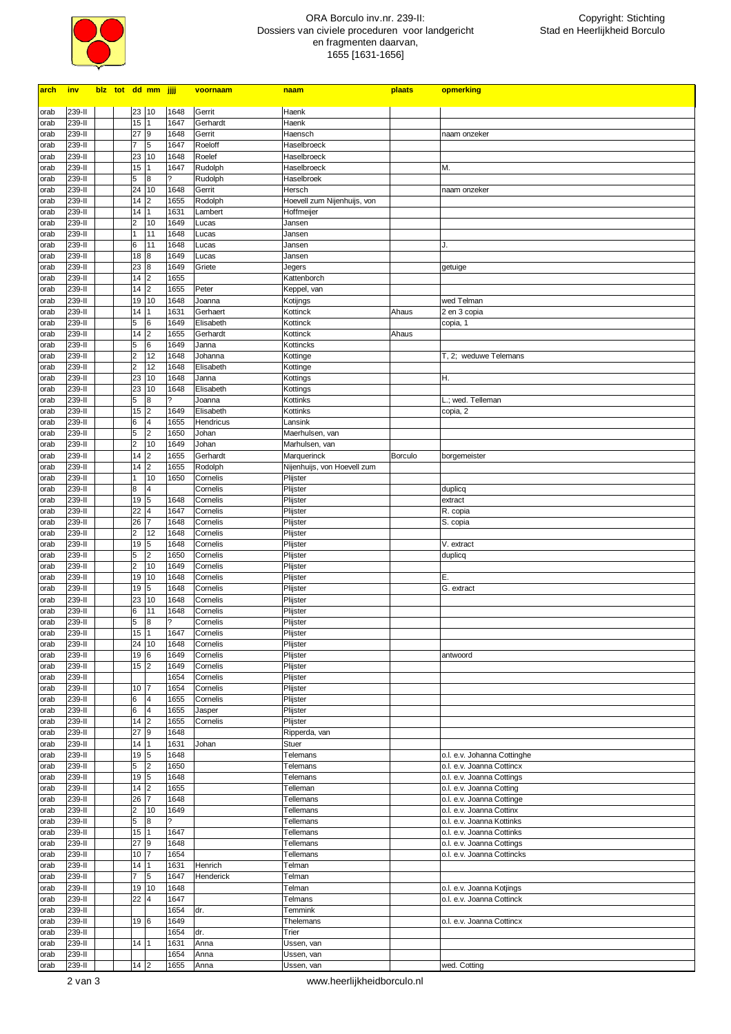

## ORA Borculo inv.nr. 239-II: Dossiers van civiele proceduren voor landgericht en fragmenten daarvan, 1655 [1631-1656]

| <u>arch</u>  | <u>inv</u>       |  |                         | blz tot dd mm jjjj      |                          | voornaam          | naam                        | plaats  | opmerking                   |
|--------------|------------------|--|-------------------------|-------------------------|--------------------------|-------------------|-----------------------------|---------|-----------------------------|
|              |                  |  |                         |                         |                          |                   |                             |         |                             |
| orab         | 239-II           |  | 23                      | 10                      | 1648                     | Gerrit            | Haenk                       |         |                             |
| orab         | 239-II<br>239-II |  | 15<br>27                | 9                       | 1647                     | Gerhardt          | Haenk<br>Haensch            |         |                             |
| orab         | 239-II           |  |                         | 5                       | 1648<br>1647             | Gerrit<br>Roeloff | Haselbroeck                 |         | naam onzeker                |
| orab         | 239-II           |  | 23                      | 10                      | 1648                     | Roelef            | Haselbroeck                 |         |                             |
| orab<br>orab | 239-II           |  | 15                      |                         | 1647                     | Rudolph           | Haselbroeck                 |         | М.                          |
| orab         | 239-II           |  | 5                       | 8                       |                          | Rudolph           | Haselbroek                  |         |                             |
| orab         | 239-II           |  | 24                      | 10                      | 1648                     | Gerrit            | Hersch                      |         | naam onzeker                |
| orab         | 239-II           |  | 14                      | 2                       | 1655                     | Rodolph           | Hoevell zum Nijenhuijs, von |         |                             |
| orab         | 239-II           |  | 14                      | 1                       | 1631                     | Lambert           | Hoffmeijer                  |         |                             |
| orab         | 239-II           |  | $\overline{2}$          | 10                      | 1649                     | Lucas             | Jansen                      |         |                             |
| orab         | 239-II           |  |                         | 11                      | 1648                     | Lucas             | Jansen                      |         |                             |
| orab         | 239-II           |  | 6                       | 11                      | 1648                     | Lucas             | Jansen                      |         | J.                          |
| orab         | 239-II           |  | 18                      | 8                       | 1649                     | Lucas             | Jansen                      |         |                             |
| orab         | 239-II           |  | 23                      | 8                       | 1649                     | Griete            | Jegers                      |         | getuige                     |
| orab         | 239-II           |  | 14                      | $\overline{2}$          | 1655                     |                   | Kattenborch                 |         |                             |
| orab         | 239-II           |  | 14                      | $\overline{\mathbf{c}}$ | 1655                     | Peter             | Keppel, van                 |         |                             |
| orab         | 239-II           |  | 19                      | 10                      | 1648                     | Joanna            | Kotijngs                    |         | wed Telman                  |
| orab         | 239-II           |  | 14                      |                         | 1631                     | Gerhaert          | Kottinck                    | Ahaus   | 2 en 3 copia                |
| orab         | 239-II           |  | 5                       | 6                       | 1649                     | Elisabeth         | Kottinck                    |         | copia, 1                    |
| orab         | 239-II           |  | 14                      | $\overline{\mathbf{c}}$ | 1655                     | Gerhardt          | Kottinck                    | Ahaus   |                             |
| orab         | 239-II           |  | 5                       | 6                       | 1649                     | Janna             | Kottincks                   |         |                             |
| orab         | 239-II           |  | 2                       | 12                      | 1648                     | Johanna           | Kottinge                    |         | T, 2; weduwe Telemans       |
| orab         | 239-II           |  | 2                       | 12                      | 1648                     | Elisabeth         | Kottinge                    |         |                             |
| orab         | 239-II           |  | 23                      | 10                      | 1648                     | Janna             | Kottings                    |         | Η.                          |
| orab         | 239-II           |  | 23                      | 10                      | 1648                     | Elisabeth         | Kottings                    |         |                             |
| orab         | 239-II           |  | 5                       | $\bf{8}$                | 2                        | Joanna            | Kottinks                    |         | L.; wed. Telleman           |
| orab         | 239-II           |  | 15                      | 2                       | 1649                     | Elisabeth         | Kottinks                    |         | copia, 2                    |
| orab         | 239-II           |  | 6                       | 4                       | 1655                     | Hendricus         | Lansink                     |         |                             |
| orab         | 239-II           |  | 5                       | $\overline{2}$          | 1650                     | Johan             | Maerhulsen, van             |         |                             |
| orab         | 239-II           |  | 2                       | 10                      | 1649                     | Johan             | Marhulsen, van              |         |                             |
| orab         | 239-II           |  | 14                      | $\overline{2}$          | 1655                     | Gerhardt          | Marquerinck                 | Borculo | borgemeister                |
| orab         | 239-II           |  | 14                      | $\overline{2}$          | 1655                     | Rodolph           | Nijenhuijs, von Hoevell zum |         |                             |
| orab         | 239-II           |  |                         | 10                      | 1650                     | Cornelis          | Plijster                    |         |                             |
| orab         | 239-II           |  | 8                       | $\overline{\mathbf{4}}$ |                          | Cornelis          | Plijster                    |         | duplicq                     |
| orab         | 239-II           |  | 19                      | 5                       | 1648                     | Cornelis          | Plijster                    |         | extract                     |
| orab         | 239-II           |  | 22                      | 4                       | 1647                     | Cornelis          | Plijster                    |         | R. copia                    |
| orab         | 239-II           |  | 26                      | 17                      | 1648                     | Cornelis          | Plijster                    |         | S. copia                    |
| orab         | 239-II           |  | 2                       | 12                      | 1648                     | Cornelis          | Plijster                    |         |                             |
| orab         | 239-II           |  | 19 5                    |                         | 1648                     | Cornelis          | Plijster                    |         | V. extract                  |
| orab         | 239-II           |  | 5                       | $\overline{2}$          | 1650                     | Cornelis          | Plijster                    |         | duplicq                     |
| orab         | 239-II           |  | 2                       | 10                      | 1649                     | Cornelis          | Plijster                    |         |                             |
| orab         | 239-II           |  | 19                      | 10                      | 1648                     | Cornelis          | Plijster                    |         | Ε.                          |
| orab         | 239-II           |  | 19                      | 5                       | 1648                     | Cornelis          | Plijster                    |         | G. extract                  |
| orab         | 239-II           |  | 23                      | 10                      | 1648                     | Cornelis          | Plijster                    |         |                             |
| orab         | 239-II           |  | 6                       | 11                      | 1648                     | Cornelis          | Plijster                    |         |                             |
| orab         | 239-II           |  | 5                       | 8                       | 7                        | Cornelis          | Plijster                    |         |                             |
| orab         | 239-II           |  | 15                      | 1                       | 1647                     | Cornelis          | Plijster                    |         |                             |
| orab         | 239-II           |  | 24 10                   |                         | 1648                     | Cornelis          | Plijster                    |         |                             |
| orab         | 239-II           |  | 196                     |                         | 1649                     | Cornelis          | Plijster                    |         | antwoord                    |
| orab         | 239-II           |  | 15 2                    |                         | 1649                     | Cornelis          | Plijster                    |         |                             |
| orab         | 239-II           |  |                         |                         | 1654                     | Cornelis          | Plijster                    |         |                             |
| orab         | 239-II           |  | 10                      | 7                       | 1654                     | Cornelis          | Plijster                    |         |                             |
| orab         | 239-II           |  | 6                       | 4                       | 1655                     | Cornelis          | Plijster                    |         |                             |
| orab         | 239-II           |  | 6                       | $\overline{\mathbf{4}}$ | 1655                     | Jasper            | Plijster                    |         |                             |
| orab         | 239-II           |  | 14                      | 2                       | 1655                     | Cornelis          | Plijster                    |         |                             |
| orab         | 239-II           |  | 27                      | 9                       | 1648                     |                   | Ripperda, van               |         |                             |
| orab         | 239-II           |  | 14                      | $\vert$ 1               | 1631                     | Johan             | Stuer                       |         |                             |
| orab         | 239-II           |  | 19                      | 5                       | 1648                     |                   | Telemans                    |         | o.l. e.v. Johanna Cottinghe |
| orab         | 239-II           |  | 5                       | $\overline{2}$          | 1650                     |                   | Telemans                    |         | o.l. e.v. Joanna Cottincx   |
| orab         | 239-II           |  | 19                      | 5                       | 1648                     |                   | Telemans                    |         | o.l. e.v. Joanna Cottings   |
| orab         | 239-II           |  | 14                      | 2                       | 1655                     |                   | Telleman                    |         | o.l. e.v. Joanna Cotting    |
| orab         | 239-II           |  | 26                      | $\overline{7}$          | 1648                     |                   | Tellemans                   |         | o.l. e.v. Joanna Cottinge   |
| orab         | 239-II           |  | $\overline{\mathbf{c}}$ | 10                      | 1649                     |                   | Tellemans                   |         | o.l. e.v. Joanna Cottinx    |
| orab         | 239-II           |  | 5                       | 8                       | $\overline{\mathcal{C}}$ |                   | Tellemans                   |         | o.l. e.v. Joanna Kottinks   |
| orab         | 239-II           |  | 15                      | $\mathbf{1}$            | 1647                     |                   | Tellemans                   |         | o.l. e.v. Joanna Cottinks   |
| orab         | 239-II           |  | 27                      | 9                       | 1648                     |                   | Tellemans                   |         | o.l. e.v. Joanna Cottings   |
| orab         | 239-II           |  | 10 7                    |                         | 1654                     |                   | Tellemans                   |         | o.l. e.v. Joanna Cottincks  |
| orab         | 239-II           |  | 14                      | 1                       | 1631                     | Henrich           | Telman                      |         |                             |
| orab         | 239-II           |  | $\overline{7}$          | 5                       | 1647                     | Henderick         | Telman                      |         |                             |
| orab         | 239-II           |  | 19                      | 10                      | 1648                     |                   | Telman                      |         | o.l. e.v. Joanna Kotjings   |
| orab         | 239-II           |  | 22                      | 4                       | 1647                     |                   | Telmans                     |         | o.l. e.v. Joanna Cottinck   |
| orab         | 239-II           |  |                         |                         | 1654                     | dr.               | Temmink                     |         |                             |
| orab         | 239-II           |  | 196                     |                         | 1649                     |                   | Thelemans                   |         | o.l. e.v. Joanna Cottincx   |
| orab         | 239-II           |  |                         |                         | 1654                     | dr.               | Trier                       |         |                             |
| orab         | 239-II           |  | 14                      | 11                      | 1631                     | Anna              | Ussen, van                  |         |                             |
| orab         | 239-II           |  |                         |                         | 1654                     | Anna              | Ussen, van                  |         |                             |
| orab         | 239-II           |  | 14 <sup>2</sup>         |                         | 1655                     | Anna              | Ussen, van                  |         | wed. Cotting                |

2 van 3 www.heerlijkheidborculo.nl